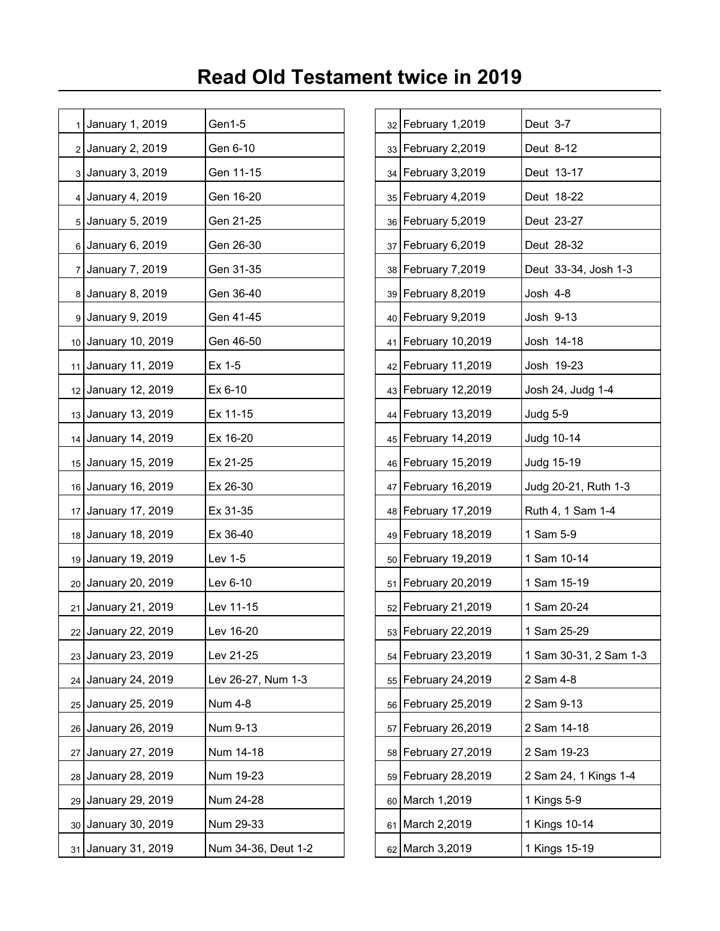| 1              | January 1, 2019     | Gen1-5              |    | 32 February 1,2019   | Deut 3-7               |
|----------------|---------------------|---------------------|----|----------------------|------------------------|
|                | 2 January 2, 2019   | Gen 6-10            |    | 33 February 2,2019   | Deut 8-12              |
|                | 3 January 3, 2019   | Gen 11-15           |    | 34 February 3,2019   | Deut 13-17             |
| $\overline{4}$ | January 4, 2019     | Gen 16-20           |    | 35   February 4,2019 | Deut 18-22             |
|                | 5 January 5, 2019   | Gen 21-25           |    | 36 February 5,2019   | Deut 23-27             |
|                | 6 January 6, 2019   | Gen 26-30           |    | 37 February 6,2019   | Deut 28-32             |
| $\overline{7}$ | January 7, 2019     | Gen 31-35           |    | 38 February 7,2019   | Deut 33-34, Josh 1-3   |
|                | 8 January 8, 2019   | Gen 36-40           |    | 39 February 8,2019   | Josh 4-8               |
|                | 9 January 9, 2019   | Gen 41-45           |    | 40 February 9,2019   | Josh 9-13              |
|                | 10 January 10, 2019 | Gen 46-50           |    | 41 February 10,2019  | Josh 14-18             |
| 11             | January 11, 2019    | Ex 1-5              |    | 42 February 11,2019  | Josh 19-23             |
|                | 12 January 12, 2019 | Ex 6-10             |    | 43 February 12,2019  | Josh 24, Judg 1-4      |
|                | 13 January 13, 2019 | Ex 11-15            |    | 44 February 13,2019  | Judg 5-9               |
|                | 14 January 14, 2019 | Ex 16-20            |    | 45 February 14,2019  | Judg 10-14             |
|                | 15 January 15, 2019 | Ex 21-25            |    | 46 February 15,2019  | Judg 15-19             |
|                | 16 January 16, 2019 | Ex 26-30            |    | 47 February 16,2019  | Judg 20-21, Ruth 1-3   |
|                | 17 January 17, 2019 | Ex 31-35            |    | 48 February 17,2019  | Ruth 4, 1 Sam 1-4      |
|                | 18 January 18, 2019 | Ex 36-40            |    | 49 February 18,2019  | 1 Sam 5-9              |
|                | 19 January 19, 2019 | Lev 1-5             |    | 50 February 19,2019  | 1 Sam 10-14            |
|                | 20 January 20, 2019 | Lev 6-10            |    | 51 February 20,2019  | 1 Sam 15-19            |
|                | 21 January 21, 2019 | Lev 11-15           |    | 52 February 21,2019  | 1 Sam 20-24            |
|                | 22 January 22, 2019 | Lev 16-20           |    | 53 February 22,2019  | 1 Sam 25-29            |
| 23             | January 23, 2019    | Lev 21-25           | 54 | February 23,2019     | 1 Sam 30-31, 2 Sam 1-3 |
|                | 24 January 24, 2019 | Lev 26-27, Num 1-3  |    | 55 February 24,2019  | 2 Sam 4-8              |
| 25             | January 25, 2019    | <b>Num 4-8</b>      | 56 | February 25,2019     | 2 Sam 9-13             |
|                | 26 January 26, 2019 | Num 9-13            | 57 | February 26,2019     | 2 Sam 14-18            |
| 27             | January 27, 2019    | Num 14-18           |    | 58 February 27,2019  | 2 Sam 19-23            |
|                | 28 January 28, 2019 | Num 19-23           |    | 59 February 28,2019  | 2 Sam 24, 1 Kings 1-4  |
|                | 29 January 29, 2019 | Num 24-28           |    | 60 March 1,2019      | 1 Kings 5-9            |
| 30             | January 30, 2019    | Num 29-33           |    | 61 March 2,2019      | 1 Kings 10-14          |
|                | 31 January 31, 2019 | Num 34-36, Deut 1-2 |    | 62 March 3,2019      | 1 Kings 15-19          |

| 32 | February 1,2019  | Deut 3-7               |
|----|------------------|------------------------|
| 33 | February 2,2019  | Deut 8-12              |
| 34 | February 3,2019  | Deut 13-17             |
| 35 | February 4,2019  | Deut 18-22             |
| 36 | February 5,2019  | Deut 23-27             |
| 37 | February 6,2019  | Deut 28-32             |
| 38 | February 7,2019  | Deut 33-34, Josh 1-3   |
| 39 | February 8,2019  | Josh 4-8               |
| 40 | February 9,2019  | Josh 9-13              |
| 41 | February 10,2019 | Josh 14-18             |
| 42 | February 11,2019 | Josh 19-23             |
| 43 | February 12,2019 | Josh 24, Judg 1-4      |
| 44 | February 13,2019 | Judg 5-9               |
| 45 | February 14,2019 | Judg 10-14             |
| 46 | February 15,2019 | Judg 15-19             |
| 47 | February 16,2019 | Judg 20-21, Ruth 1-3   |
| 48 | February 17,2019 | Ruth 4, 1 Sam 1-4      |
| 49 | February 18,2019 | 1 Sam 5-9              |
| 50 | February 19,2019 | 1 Sam 10-14            |
| 51 | February 20,2019 | 1 Sam 15-19            |
| 52 | February 21,2019 | 1 Sam 20-24            |
| 53 | February 22,2019 | 1 Sam 25-29            |
| 54 | February 23,2019 | 1 Sam 30-31, 2 Sam 1-3 |
| 55 | February 24,2019 | 2 Sam 4-8              |
| 56 | February 25,2019 | 2 Sam 9-13             |
| 57 | February 26,2019 | 2 Sam 14-18            |
| 58 | February 27,2019 | 2 Sam 19-23            |
| 59 | February 28,2019 | 2 Sam 24, 1 Kings 1-4  |
| 60 | March 1,2019     | 1 Kings 5-9            |
| 61 | March 2,2019     | 1 Kings 10-14          |
| 62 | March 3,2019     | 1 Kings 15-19          |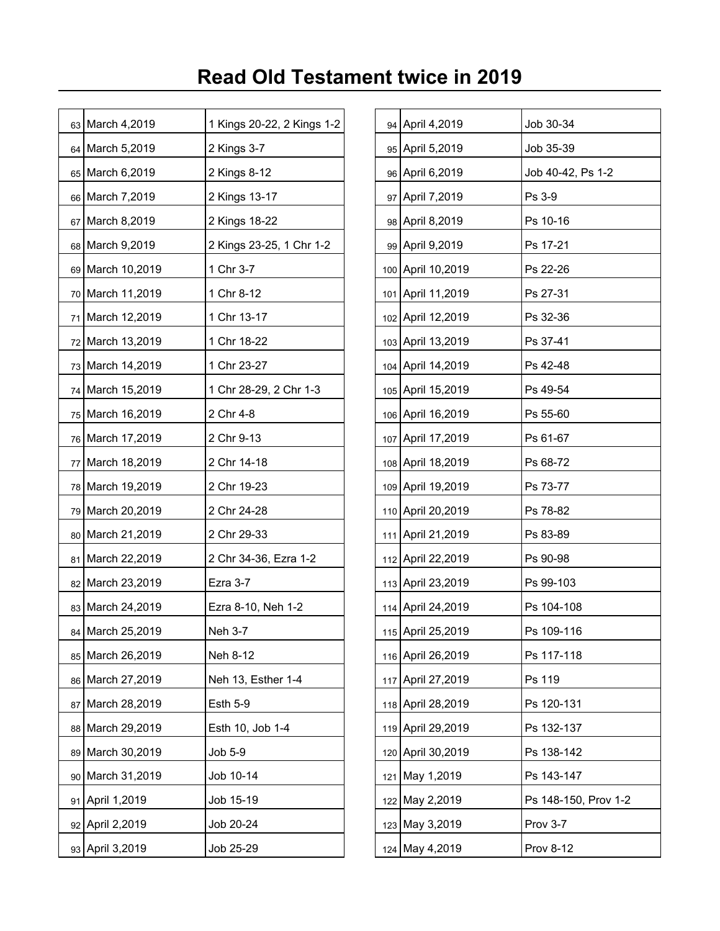|    | 63 March 4,2019  | 1 Kings 20-22, 2 Kings 1-2 |     | 94 April 4,2019   | Job 30-34            |
|----|------------------|----------------------------|-----|-------------------|----------------------|
|    | 64 March 5,2019  | 2 Kings 3-7                |     | 95 April 5,2019   | Job 35-39            |
|    | 65 March 6,2019  | 2 Kings 8-12               |     | 96 April 6,2019   | Job 40-42, Ps 1-2    |
|    | 66 March 7,2019  | 2 Kings 13-17              |     | 97 April 7,2019   | Ps 3-9               |
|    | 67 March 8,2019  | 2 Kings 18-22              |     | 98 April 8,2019   | Ps 10-16             |
|    | 68 March 9,2019  | 2 Kings 23-25, 1 Chr 1-2   |     | 99 April 9,2019   | Ps 17-21             |
|    | 69 March 10,2019 | 1 Chr 3-7                  |     | 100 April 10,2019 | Ps 22-26             |
|    | 70 March 11,2019 | 1 Chr 8-12                 |     | 101 April 11,2019 | Ps 27-31             |
|    | 71 March 12,2019 | 1 Chr 13-17                |     | 102 April 12,2019 | Ps 32-36             |
|    | 72 March 13,2019 | 1 Chr 18-22                |     | 103 April 13,2019 | Ps 37-41             |
|    | 73 March 14,2019 | 1 Chr 23-27                |     | 104 April 14,2019 | Ps 42-48             |
|    | 74 March 15,2019 | 1 Chr 28-29, 2 Chr 1-3     |     | 105 April 15,2019 | Ps 49-54             |
|    | 75 March 16,2019 | 2 Chr 4-8                  |     | 106 April 16,2019 | Ps 55-60             |
|    | 76 March 17,2019 | 2 Chr 9-13                 |     | 107 April 17,2019 | Ps 61-67             |
|    | 77 March 18,2019 | 2 Chr 14-18                |     | 108 April 18,2019 | Ps 68-72             |
|    | 78 March 19,2019 | 2 Chr 19-23                |     | 109 April 19,2019 | Ps 73-77             |
|    | 79 March 20,2019 | 2 Chr 24-28                |     | 110 April 20,2019 | Ps 78-82             |
|    | 80 March 21,2019 | 2 Chr 29-33                | 111 | April 21,2019     | Ps 83-89             |
|    | 81 March 22,2019 | 2 Chr 34-36, Ezra 1-2      |     | 112 April 22,2019 | Ps 90-98             |
|    | 82 March 23,2019 | Ezra 3-7                   |     | 113 April 23,2019 | Ps 99-103            |
|    | 83 March 24,2019 | Ezra 8-10, Neh 1-2         |     | 114 April 24,2019 | Ps 104-108           |
|    | 84 March 25,2019 | Neh 3-7                    |     | 115 April 25,2019 | Ps 109-116           |
|    | 85 March 26,2019 | Neh 8-12                   |     | 116 April 26,2019 | Ps 117-118           |
|    | 86 March 27,2019 | Neh 13, Esther 1-4         |     | 117 April 27,2019 | Ps 119               |
| 87 | March 28,2019    | <b>Esth 5-9</b>            |     | 118 April 28,2019 | Ps 120-131           |
|    | 88 March 29,2019 | Esth 10, Job 1-4           |     | 119 April 29,2019 | Ps 132-137           |
|    | 89 March 30,2019 | Job 5-9                    |     | 120 April 30,2019 | Ps 138-142           |
|    | 90 March 31,2019 | Job 10-14                  | 121 | May 1,2019        | Ps 143-147           |
|    | 91 April 1,2019  | Job 15-19                  |     | 122 May 2,2019    | Ps 148-150, Prov 1-2 |
|    | 92 April 2,2019  | Job 20-24                  |     | 123 May 3,2019    | Prov 3-7             |
|    | 93 April 3,2019  | Job 25-29                  |     | 124 May 4,2019    | Prov 8-12            |

| 94  | April 4,2019      | Job 30-34            |
|-----|-------------------|----------------------|
| 95  | April 5,2019      | Job 35-39            |
| 96  | April 6,2019      | Job 40-42, Ps 1-2    |
| 97  | April 7,2019      | Ps 3-9               |
| 98  | April 8,2019      | Ps 10-16             |
| 99  | April 9,2019      | Ps 17-21             |
| 100 | April 10,2019     | Ps 22-26             |
| 101 | April 11,2019     | Ps 27-31             |
| 102 | April 12,2019     | Ps 32-36             |
| 103 | April 13,2019     | Ps 37-41             |
| 104 | April 14,2019     | Ps 42-48             |
| 105 | April 15,2019     | Ps 49-54             |
| 106 | April 16,2019     | Ps 55-60             |
| 107 | April 17,2019     | Ps 61-67             |
| 108 | April 18,2019     | Ps 68-72             |
| 109 | April 19,2019     | Ps 73-77             |
| 110 | April 20,2019     | Ps 78-82             |
| 111 | April 21,2019     | Ps 83-89             |
| 112 | April 22,2019     | Ps 90-98             |
| 113 | April 23,2019     | Ps 99-103            |
| 114 | April 24,2019     | Ps 104-108           |
|     | 115 April 25,2019 | Ps 109-116           |
| 116 | April 26,2019     | Ps 117-118           |
| 117 | April 27,2019     | Ps 119               |
| 118 | April 28,2019     | Ps 120-131           |
| 119 | April 29,2019     | Ps 132-137           |
| 120 | April 30,2019     | Ps 138-142           |
| 121 | May 1,2019        | Ps 143-147           |
| 122 | May 2,2019        | Ps 148-150, Prov 1-2 |
| 123 | May 3,2019        | Prov 3-7             |
| 124 | May 4,2019        | <b>Prov 8-12</b>     |
|     |                   |                      |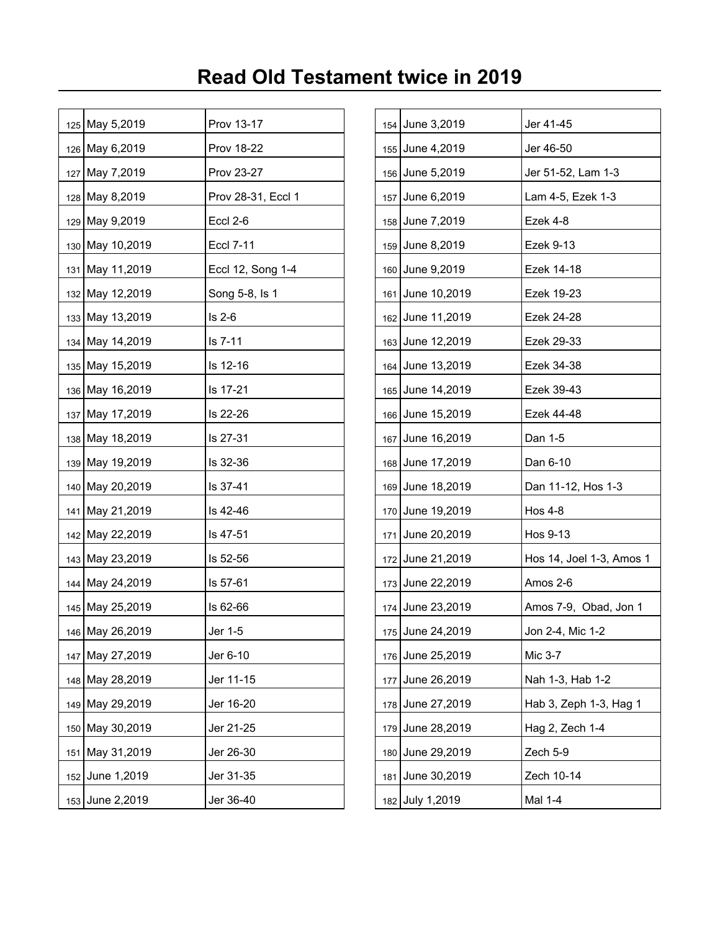| 125 May 5,2019  | Prov 13-17         |  | 154 June 3,2019  | Jer 41-45                |
|-----------------|--------------------|--|------------------|--------------------------|
| 126 May 6,2019  | <b>Prov 18-22</b>  |  | 155 June 4,2019  | Jer 46-50                |
| 127 May 7,2019  | Prov 23-27         |  | 156 June 5,2019  | Jer 51-52, Lam 1-3       |
| 128 May 8,2019  | Prov 28-31, Eccl 1 |  | 157 June 6,2019  | Lam 4-5, Ezek 1-3        |
| 129 May 9,2019  | Eccl 2-6           |  | 158 June 7,2019  | Ezek 4-8                 |
| 130 May 10,2019 | <b>Eccl 7-11</b>   |  | 159 June 8,2019  | Ezek 9-13                |
| 131 May 11,2019 | Eccl 12, Song 1-4  |  | 160 June 9,2019  | Ezek 14-18               |
| 132 May 12,2019 | Song 5-8, Is 1     |  | 161 June 10,2019 | Ezek 19-23               |
| 133 May 13,2019 | $Is 2-6$           |  | 162 June 11,2019 | Ezek 24-28               |
| 134 May 14,2019 | ls 7-11            |  | 163 June 12,2019 | Ezek 29-33               |
| 135 May 15,2019 | Is 12-16           |  | 164 June 13,2019 | Ezek 34-38               |
| 136 May 16,2019 | Is 17-21           |  | 165 June 14,2019 | Ezek 39-43               |
| 137 May 17,2019 | ls 22-26           |  | 166 June 15,2019 | Ezek 44-48               |
| 138 May 18,2019 | Is 27-31           |  | 167 June 16,2019 | Dan 1-5                  |
| 139 May 19,2019 | Is 32-36           |  | 168 June 17,2019 | Dan 6-10                 |
| 140 May 20,2019 | Is 37-41           |  | 169 June 18,2019 | Dan 11-12, Hos 1-3       |
| 141 May 21,2019 | ls 42-46           |  | 170 June 19,2019 | Hos 4-8                  |
| 142 May 22,2019 | Is 47-51           |  | 171 June 20,2019 | Hos 9-13                 |
| 143 May 23,2019 | ls 52-56           |  | 172 June 21,2019 | Hos 14, Joel 1-3, Amos 1 |
| 144 May 24,2019 | Is 57-61           |  | 173 June 22,2019 | Amos 2-6                 |
| 145 May 25,2019 | Is 62-66           |  | 174 June 23,2019 | Amos 7-9, Obad, Jon 1    |
| 146 May 26,2019 | Jer 1-5            |  | 175 June 24,2019 | Jon 2-4, Mic 1-2         |
| 147 May 27,2019 | Jer 6-10           |  | 176 June 25,2019 | Mic 3-7                  |
| 148 May 28,2019 | Jer 11-15          |  | 177 June 26,2019 | Nah 1-3, Hab 1-2         |
| 149 May 29,2019 | Jer 16-20          |  | 178 June 27,2019 | Hab 3, Zeph 1-3, Hag 1   |
| 150 May 30,2019 | Jer 21-25          |  | 179 June 28,2019 | Hag 2, Zech 1-4          |
| 151 May 31,2019 | Jer 26-30          |  | 180 June 29,2019 | Zech 5-9                 |
| 152 June 1,2019 | Jer 31-35          |  | 181 June 30,2019 | Zech 10-14               |
| 153 June 2,2019 | Jer 36-40          |  | 182 July 1,2019  | Mal 1-4                  |

| 154 | June 3,2019  | Jer 41-45                |
|-----|--------------|--------------------------|
| 155 | June 4,2019  | Jer 46-50                |
| 156 | June 5,2019  | Jer 51-52, Lam 1-3       |
| 157 | June 6,2019  | Lam 4-5, Ezek 1-3        |
| 158 | June 7,2019  | Ezek 4-8                 |
| 159 | June 8,2019  | Ezek 9-13                |
| 160 | June 9,2019  | Ezek 14-18               |
| 161 | June 10,2019 | Ezek 19-23               |
| 162 | June 11,2019 | Ezek 24-28               |
| 163 | June 12,2019 | Ezek 29-33               |
| 164 | June 13,2019 | Ezek 34-38               |
| 165 | June 14,2019 | Ezek 39-43               |
| 166 | June 15,2019 | Ezek 44-48               |
| 167 | June 16,2019 | Dan 1-5                  |
| 168 | June 17,2019 | Dan 6-10                 |
| 169 | June 18,2019 | Dan 11-12, Hos 1-3       |
| 170 | June 19,2019 | <b>Hos 4-8</b>           |
| 171 | June 20,2019 | Hos 9-13                 |
| 172 | June 21,2019 | Hos 14, Joel 1-3, Amos 1 |
| 173 | June 22,2019 | Amos 2-6                 |
| 174 | June 23,2019 | Amos 7-9, Obad, Jon 1    |
| 175 | June 24,2019 | Jon 2-4, Mic 1-2         |
| 176 | June 25,2019 | Mic 3-7                  |
| 177 | June 26,2019 | Nah 1-3, Hab 1-2         |
| 178 | June 27,2019 | Hab 3, Zeph 1-3, Hag 1   |
| 179 | June 28,2019 | Hag 2, Zech 1-4          |
| 180 | June 29,2019 | Zech 5-9                 |
| 181 | June 30,2019 | Zech 10-14               |
| 182 | July 1,2019  | Mal 1-4                  |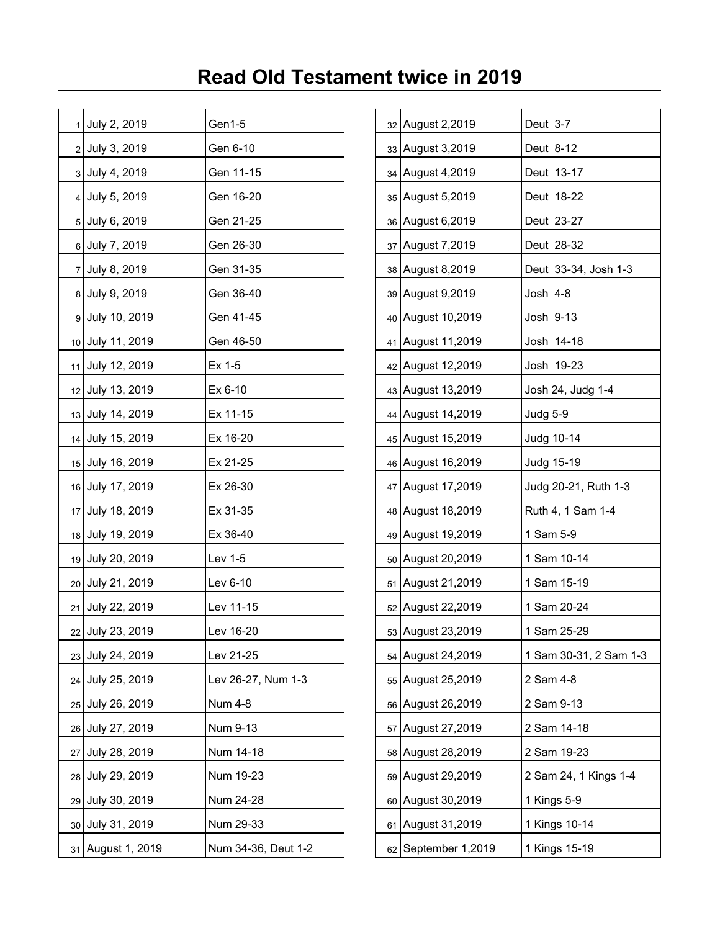|                 | 1 July 2, 2019    | Gen1-5              |    | 32 August 2,2019      | Deut 3-7               |
|-----------------|-------------------|---------------------|----|-----------------------|------------------------|
|                 | 2 July 3, 2019    | Gen 6-10            |    | 33 August 3,2019      | Deut 8-12              |
|                 | 3 July 4, 2019    | Gen 11-15           |    | 34 August 4,2019      | Deut 13-17             |
|                 | 4 July 5, 2019    | Gen 16-20           |    | 35 August 5,2019      | Deut 18-22             |
|                 | 5 July 6, 2019    | Gen 21-25           |    | 36 August 6,2019      | Deut 23-27             |
|                 | 6 July 7, 2019    | Gen 26-30           |    | 37 August 7,2019      | Deut 28-32             |
|                 | 7 July 8, 2019    | Gen 31-35           |    | 38 August 8,2019      | Deut 33-34, Josh 1-3   |
|                 | 8 July 9, 2019    | Gen 36-40           |    | 39 August 9,2019      | Josh 4-8               |
|                 | 9 July 10, 2019   | Gen 41-45           |    | 40 August 10,2019     | Josh 9-13              |
|                 | 10 July 11, 2019  | Gen 46-50           |    | 41 August 11,2019     | Josh 14-18             |
|                 | 11 July 12, 2019  | Ex 1-5              |    | 42 August 12,2019     | Josh 19-23             |
|                 | 12 July 13, 2019  | Ex 6-10             |    | 43 August 13,2019     | Josh 24, Judg 1-4      |
|                 | 13 July 14, 2019  | Ex 11-15            |    | 44 August 14,2019     | Judg 5-9               |
|                 | 14 July 15, 2019  | Ex 16-20            |    | 45 August 15,2019     | Judg 10-14             |
|                 | 15 July 16, 2019  | Ex 21-25            |    | 46 August 16,2019     | Judg 15-19             |
|                 | 16 July 17, 2019  | Ex 26-30            |    | 47 August 17,2019     | Judg 20-21, Ruth 1-3   |
|                 | 17 July 18, 2019  | Ex 31-35            |    | 48 August 18,2019     | Ruth 4, 1 Sam 1-4      |
|                 | 18 July 19, 2019  | Ex 36-40            |    | 49 August 19,2019     | 1 Sam 5-9              |
|                 | 19 July 20, 2019  | Lev 1-5             |    | 50 August 20,2019     | 1 Sam 10-14            |
|                 | 20 July 21, 2019  | Lev 6-10            |    | 51 August 21,2019     | 1 Sam 15-19            |
|                 | 21 July 22, 2019  | Lev 11-15           |    | 52 August 22,2019     | 1 Sam 20-24            |
|                 | 22 July 23, 2019  | Lev 16-20           |    | 53 August 23,2019     | 1 Sam 25-29            |
|                 | 23 July 24, 2019  | Lev 21-25           | 54 | August 24,2019        | 1 Sam 30-31, 2 Sam 1-3 |
|                 | 24 July 25, 2019  | Lev 26-27, Num 1-3  |    | 55 August 25,2019     | 2 Sam 4-8              |
| 25 <sub>1</sub> | July 26, 2019     | Num 4-8             | 56 | August 26,2019        | 2 Sam 9-13             |
|                 | 26 July 27, 2019  | Num 9-13            | 57 | August 27,2019        | 2 Sam 14-18            |
|                 | 27 July 28, 2019  | Num 14-18           |    | 58 August 28,2019     | 2 Sam 19-23            |
|                 | 28 July 29, 2019  | Num 19-23           |    | 59 August 29,2019     | 2 Sam 24, 1 Kings 1-4  |
|                 | 29 July 30, 2019  | Num 24-28           |    | 60 August 30,2019     | 1 Kings 5-9            |
|                 | 30 July 31, 2019  | Num 29-33           | 61 | August 31,2019        | 1 Kings 10-14          |
|                 | 31 August 1, 2019 | Num 34-36, Deut 1-2 |    | $62$ September 1,2019 | 1 Kings 15-19          |

| 32 | August 2,2019    | Deut 3-7               |
|----|------------------|------------------------|
| 33 | August 3,2019    | Deut 8-12              |
| 34 | August 4,2019    | Deut 13-17             |
| 35 | August 5,2019    | Deut 18-22             |
| 36 | August 6,2019    | Deut 23-27             |
| 37 | August 7,2019    | Deut 28-32             |
| 38 | August 8,2019    | Deut 33-34, Josh 1-3   |
| 39 | August 9,2019    | Josh 4-8               |
| 40 | August 10,2019   | Josh 9-13              |
| 41 | August 11,2019   | Josh 14-18             |
| 42 | August 12,2019   | Josh 19-23             |
| 43 | August 13,2019   | Josh 24, Judg 1-4      |
| 44 | August 14,2019   | Judg 5-9               |
| 45 | August 15,2019   | Judg 10-14             |
| 46 | August 16,2019   | Judg 15-19             |
| 47 | August 17,2019   | Judg 20-21, Ruth 1-3   |
| 48 | August 18,2019   | Ruth 4, 1 Sam 1-4      |
| 49 | August 19,2019   | 1 Sam 5-9              |
| 50 | August 20,2019   | 1 Sam 10-14            |
| 51 | August 21,2019   | 1 Sam 15-19            |
| 52 | August 22,2019   | 1 Sam 20-24            |
| 53 | August 23,2019   | 1 Sam 25-29            |
| 54 | August 24,2019   | 1 Sam 30-31, 2 Sam 1-3 |
| 55 | August 25,2019   | 2 Sam 4-8              |
| 56 | August 26,2019   | 2 Sam 9-13             |
| 57 | August 27,2019   | 2 Sam 14-18            |
| 58 | August 28,2019   | 2 Sam 19-23            |
| 59 | August 29,2019   | 2 Sam 24, 1 Kings 1-4  |
| 60 | August 30,2019   | 1 Kings 5-9            |
| 61 | August 31,2019   | 1 Kings 10-14          |
| 62 | September 1,2019 | 1 Kings 15-19          |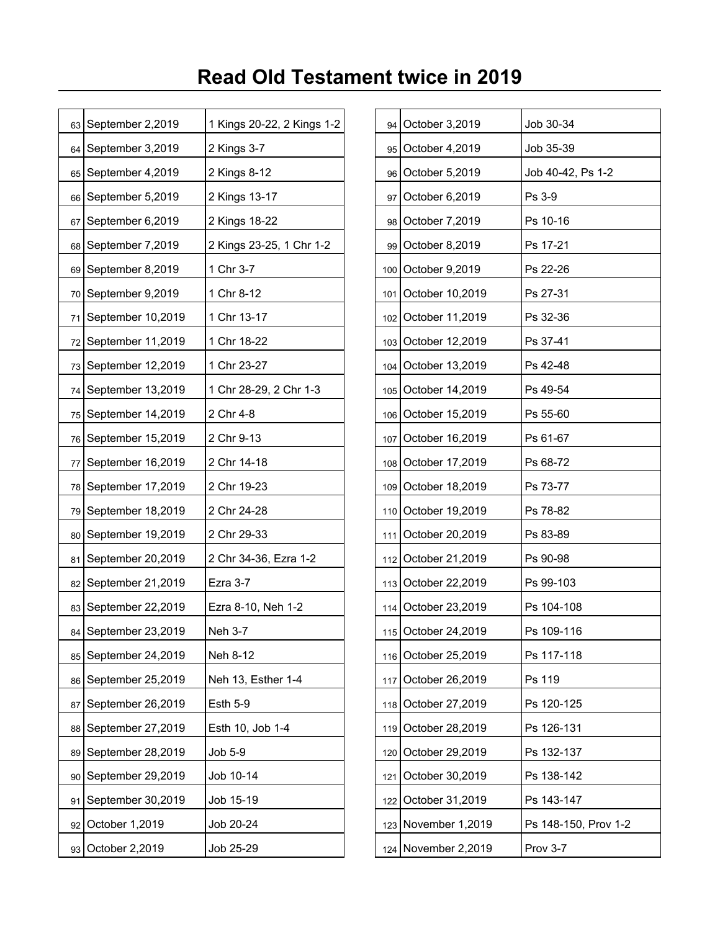| 63 | September 2,2019       | 1 Kings 20-22, 2 Kings 1-2 |       | 94 | October 3,2019      | Job 30-34            |
|----|------------------------|----------------------------|-------|----|---------------------|----------------------|
| 64 | September 3,2019       | 2 Kings 3-7                |       |    | 95 October 4,2019   | Job 35-39            |
|    | 65 September 4,2019    | 2 Kings 8-12               |       | 96 | October 5,2019      | Job 40-42, Ps 1-2    |
| 66 | September 5,2019       | 2 Kings 13-17              |       | 97 | October 6,2019      | Ps 3-9               |
| 67 | September 6,2019       | 2 Kings 18-22              |       |    | 98 October 7,2019   | Ps 10-16             |
| 68 | September 7,2019       | 2 Kings 23-25, 1 Chr 1-2   |       | 99 | October 8,2019      | Ps 17-21             |
| 69 | September 8,2019       | 1 Chr 3-7                  | 100   |    | October 9,2019      | Ps 22-26             |
|    | 70 September 9,2019    | 1 Chr 8-12                 | 101   |    | October 10,2019     | Ps 27-31             |
| 71 | September 10,2019      | 1 Chr 13-17                |       |    | 102 October 11,2019 | Ps 32-36             |
|    | 72 September 11,2019   | 1 Chr 18-22                |       |    | 103 October 12,2019 | Ps 37-41             |
| 73 | September 12,2019      | 1 Chr 23-27                | 104   |    | October 13,2019     | Ps 42-48             |
|    | 74   September 13,2019 | 1 Chr 28-29, 2 Chr 1-3     |       |    | 105 October 14,2019 | Ps 49-54             |
|    | 75 September 14,2019   | 2 Chr 4-8                  | 106   |    | October 15,2019     | Ps 55-60             |
|    | 76 September 15,2019   | 2 Chr 9-13                 | 107   |    | October 16,2019     | Ps 61-67             |
| 77 | September 16,2019      | 2 Chr 14-18                |       |    | 108 October 17,2019 | Ps 68-72             |
|    | 78 September 17,2019   | 2 Chr 19-23                | 109   |    | October 18,2019     | Ps 73-77             |
|    | 79 September 18,2019   | 2 Chr 24-28                |       |    | 110 October 19,2019 | Ps 78-82             |
| 80 | September 19,2019      | 2 Chr 29-33                | 111   |    | October 20,2019     | Ps 83-89             |
| 81 | September 20,2019      | 2 Chr 34-36, Ezra 1-2      |       |    | 112 October 21,2019 | Ps 90-98             |
|    | 82 September 21,2019   | Ezra 3-7                   |       |    | 113 October 22,2019 | Ps 99-103            |
|    | 83 September 22,2019   | Ezra 8-10, Neh 1-2         |       |    | 114 October 23,2019 | Ps 104-108           |
|    | 84   September 23,2019 | Neh 3-7                    |       |    | 115 October 24,2019 | Ps 109-116           |
| 85 | September 24,2019      | Neh 8-12                   | 116 l |    | October 25,2019     | Ps 117-118           |
| 86 | September 25,2019      | Neh 13, Esther 1-4         | 117   |    | October 26,2019     | Ps 119               |
| 87 | September 26,2019      | <b>Esth 5-9</b>            | 118   |    | October 27,2019     | Ps 120-125           |
| 88 | September 27,2019      | Esth 10, Job 1-4           | 119   |    | October 28,2019     | Ps 126-131           |
| 89 | September 28,2019      | Job 5-9                    | 120   |    | October 29,2019     | Ps 132-137           |
| 90 | September 29,2019      | Job 10-14                  | 121   |    | October 30,2019     | Ps 138-142           |
|    | 91 September 30,2019   | Job 15-19                  |       |    | 122 October 31,2019 | Ps 143-147           |
| 92 | October 1,2019         | Job 20-24                  | 123   |    | November 1,2019     | Ps 148-150, Prov 1-2 |
|    | 93 October 2,2019      | Job 25-29                  |       |    | 124 November 2,2019 | Prov 3-7             |

| 94  | October 3,2019      | Job 30-34            |
|-----|---------------------|----------------------|
| 95  | October 4,2019      | Job 35-39            |
| 96  | October 5,2019      | Job 40-42, Ps 1-2    |
| 97  | October 6,2019      | Ps 3-9               |
| 98  | October 7,2019      | Ps 10-16             |
| 99  | October 8,2019      | Ps 17-21             |
| 100 | October 9,2019      | Ps 22-26             |
| 101 | October 10,2019     | Ps 27-31             |
| 102 | October 11,2019     | Ps 32-36             |
| 103 | October 12,2019     | Ps 37-41             |
| 104 | October 13,2019     | Ps 42-48             |
| 105 | October 14,2019     | Ps 49-54             |
| 106 | October 15,2019     | Ps 55-60             |
| 107 | October 16,2019     | Ps 61-67             |
| 108 | October 17,2019     | Ps 68-72             |
| 109 | October 18,2019     | Ps 73-77             |
| 110 | October 19,2019     | Ps 78-82             |
| 111 | October 20,2019     | Ps 83-89             |
| 112 | October 21,2019     | Ps 90-98             |
| 113 | October 22,2019     | Ps 99-103            |
| 114 | October 23,2019     | Ps 104-108           |
|     | 115 October 24,2019 | Ps 109-116           |
| 116 | October 25,2019     | Ps 117-118           |
| 117 | October 26,2019     | Ps 119               |
| 118 | October 27,2019     | Ps 120-125           |
| 119 | October 28,2019     | Ps 126-131           |
| 120 | October 29,2019     | Ps 132-137           |
| 121 | October 30,2019     | Ps 138-142           |
| 122 | October 31,2019     | Ps 143-147           |
| 123 | November 1,2019     | Ps 148-150, Prov 1-2 |
| 124 | November 2,2019     | Prov 3-7             |